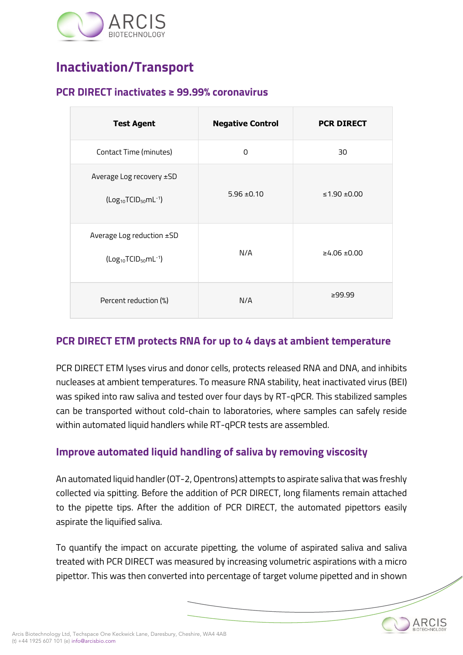

### **Inactivation/Transport**

#### **PCR DIRECT inactivates ≥ 99.99% coronavirus**

| <b>Test Agent</b>                                                                     | <b>Negative Control</b> | <b>PCR DIRECT</b> |
|---------------------------------------------------------------------------------------|-------------------------|-------------------|
| Contact Time (minutes)                                                                | 0                       | 30                |
| Average Log recovery ±SD<br>$(Log10TCID50ml-1)$                                       | $5.96 \pm 0.10$         | ≤1.90 ±0.00       |
| Average Log reduction ±SD<br>(Log <sub>10</sub> TCID <sub>50</sub> mL <sup>-1</sup> ) | N/A                     | ≥4.06 ±0.00       |
| Percent reduction (%)                                                                 | N/A                     | ≥99.99            |

### **PCR DIRECT ETM protects RNA for up to 4 days at ambient temperature**

PCR DIRECT ETM lyses virus and donor cells, protects released RNA and DNA, and inhibits nucleases at ambient temperatures. To measure RNA stability, heat inactivated virus (BEI) was spiked into raw saliva and tested over four days by RT-qPCR. This stabilized samples can be transported without cold-chain to laboratories, where samples can safely reside within automated liquid handlers while RT-qPCR tests are assembled.

### **Improve automated liquid handling of saliva by removing viscosity**

An automated liquid handler (OT-2, Opentrons) attempts to aspirate saliva that was freshly collected via spitting. Before the addition of PCR DIRECT, long filaments remain attached to the pipette tips. After the addition of PCR DIRECT, the automated pipettors easily aspirate the liquified saliva.

To quantify the impact on accurate pipetting, the volume of aspirated saliva and saliva treated with PCR DIRECT was measured by increasing volumetric aspirations with a micro pipettor. This was then converted into percentage of target volume pipetted and in shown

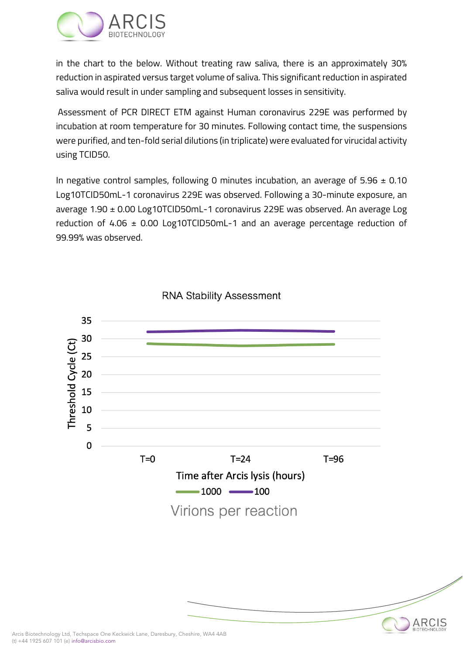

in the chart to the below. Without treating raw saliva, there is an approximately 30% reduction in aspirated versus target volume of saliva. This significant reduction in aspirated saliva would result in under sampling and subsequent losses in sensitivity.

Assessment of PCR DIRECT ETM against Human coronavirus 229E was performed by incubation at room temperature for 30 minutes. Following contact time, the suspensions were purified, and ten-fold serial dilutions (in triplicate) were evaluated for virucidal activity using TCID50.

In negative control samples, following 0 minutes incubation, an average of  $5.96 \pm 0.10$ Log10TCID50mL-1 coronavirus 229E was observed. Following a 30-minute exposure, an average 1.90 ± 0.00 Log10TCID50mL-1 coronavirus 229E was observed. An average Log reduction of 4.06  $\pm$  0.00 Log10TCID50mL-1 and an average percentage reduction of 99.99% was observed.



ARCIS

#### **RNA Stability Assessment**